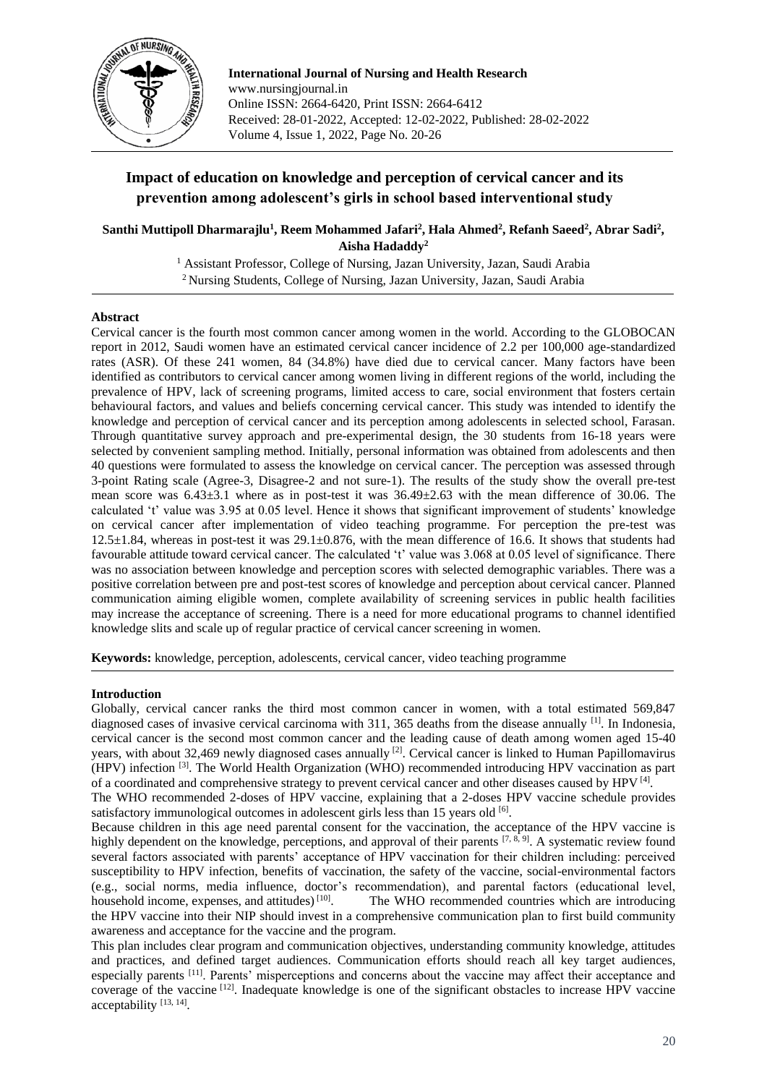

**International Journal of Nursing and Health Research** www.nursingjournal.in Online ISSN: 2664-6420, Print ISSN: 2664-6412 Received: 28-01-2022, Accepted: 12-02-2022, Published: 28-02-2022 Volume 4, Issue 1, 2022, Page No. 20-26

# **Impact of education on knowledge and perception of cervical cancer and its prevention among adolescent's girls in school based interventional study**

 $\bf{S}$ anthi Muttipoll Dharmarajlu<sup>1</sup>, Reem Mohammed Jafari<sup>2</sup>, Hala Ahmed<sup>2</sup>, Refanh Saeed<sup>2</sup>, Abrar Sadi<sup>2</sup>, **Aisha Hadaddy<sup>2</sup>**

> <sup>1</sup> Assistant Professor, College of Nursing, Jazan University, Jazan, Saudi Arabia <sup>2</sup> Nursing Students, College of Nursing, Jazan University, Jazan, Saudi Arabia

## **Abstract**

Cervical cancer is the fourth most common cancer among women in the world. According to the GLOBOCAN report in 2012, Saudi women have an estimated cervical cancer incidence of 2.2 per 100,000 age-standardized rates (ASR). Of these 241 women, 84 (34.8%) have died due to cervical cancer. Many factors have been identified as contributors to cervical cancer among women living in different regions of the world, including the prevalence of HPV, lack of screening programs, limited access to care, social environment that fosters certain behavioural factors, and values and beliefs concerning cervical cancer. This study was intended to identify the knowledge and perception of cervical cancer and its perception among adolescents in selected school, Farasan. Through quantitative survey approach and pre-experimental design, the 30 students from 16-18 years were selected by convenient sampling method. Initially, personal information was obtained from adolescents and then 40 questions were formulated to assess the knowledge on cervical cancer. The perception was assessed through 3-point Rating scale (Agree-3, Disagree-2 and not sure-1). The results of the study show the overall pre-test mean score was 6.43±3.1 where as in post-test it was 36.49±2.63 with the mean difference of 30.06. The calculated 't' value was 3.95 at 0.05 level. Hence it shows that significant improvement of students' knowledge on cervical cancer after implementation of video teaching programme. For perception the pre-test was  $12.5\pm1.84$ , whereas in post-test it was  $29.1\pm0.876$ , with the mean difference of 16.6. It shows that students had favourable attitude toward cervical cancer. The calculated 't' value was 3.068 at 0.05 level of significance. There was no association between knowledge and perception scores with selected demographic variables. There was a positive correlation between pre and post-test scores of knowledge and perception about cervical cancer. Planned communication aiming eligible women, complete availability of screening services in public health facilities may increase the acceptance of screening. There is a need for more educational programs to channel identified knowledge slits and scale up of regular practice of cervical cancer screening in women.

**Keywords:** knowledge, perception, adolescents, cervical cancer, video teaching programme

# **Introduction**

Globally, cervical cancer ranks the third most common cancer in women, with a total estimated 569,847 diagnosed cases of invasive cervical carcinoma with 311, 365 deaths from the disease annually  $^{[1]}$ . In Indonesia, cervical cancer is the second most common cancer and the leading cause of death among women aged 15-40 years, with about 32,469 newly diagnosed cases annually <sup>[2]</sup>. Cervical cancer is linked to Human Papillomavirus (HPV) infection <sup>[3]</sup>. The World Health Organization (WHO) recommended introducing HPV vaccination as part of a coordinated and comprehensive strategy to prevent cervical cancer and other diseases caused by HPV<sup>[4]</sup>.

The WHO recommended 2-doses of HPV vaccine, explaining that a 2-doses HPV vaccine schedule provides satisfactory immunological outcomes in adolescent girls less than  $15$  years old  $[6]$ .

Because children in this age need parental consent for the vaccination, the acceptance of the HPV vaccine is highly dependent on the knowledge, perceptions, and approval of their parents  $[7, 8, 9]$ . A systematic review found several factors associated with parents' acceptance of HPV vaccination for their children including: perceived susceptibility to HPV infection, benefits of vaccination, the safety of the vaccine, social-environmental factors (e.g., social norms, media influence, doctor's recommendation), and parental factors (educational level, household income, expenses, and attitudes)  $[10]$ . . The WHO recommended countries which are introducing the HPV vaccine into their NIP should invest in a comprehensive communication plan to first build community awareness and acceptance for the vaccine and the program.

This plan includes clear program and communication objectives, understanding community knowledge, attitudes and practices, and defined target audiences. Communication efforts should reach all key target audiences, especially parents [11]. Parents' misperceptions and concerns about the vaccine may affect their acceptance and coverage of the vaccine  $[12]$ . Inadequate knowledge is one of the significant obstacles to increase HPV vaccine acceptability<sup>[13, 14]</sup>.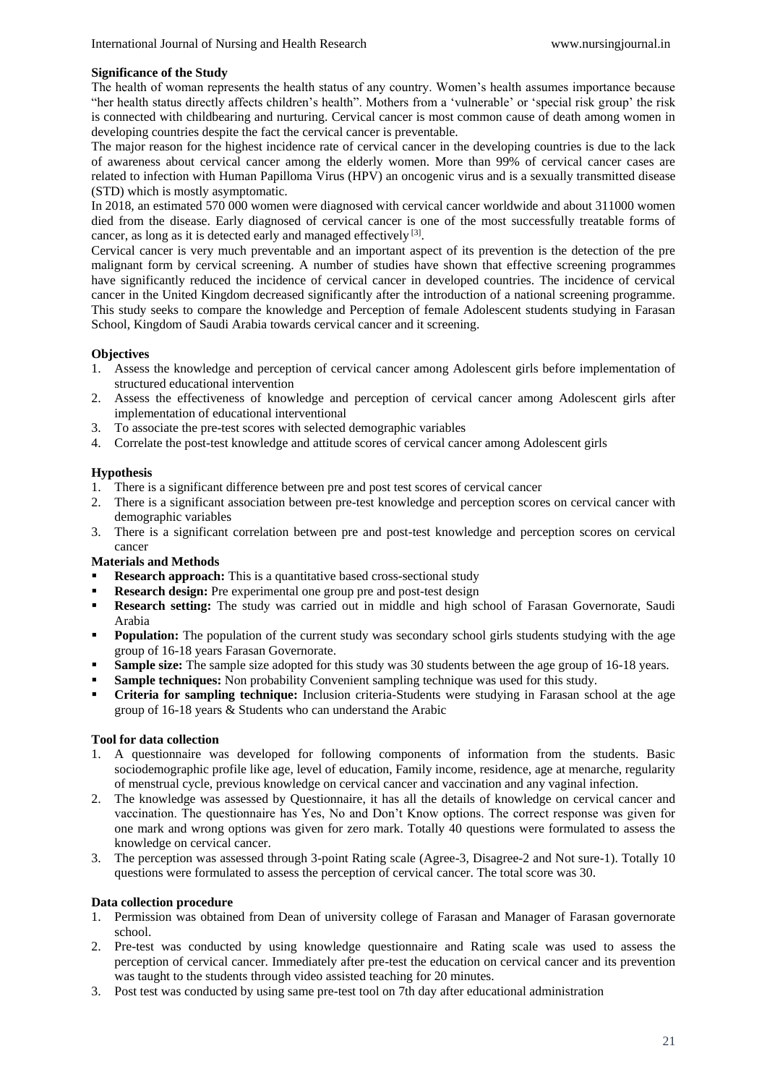## **Significance of the Study**

The health of woman represents the health status of any country. Women's health assumes importance because "her health status directly affects children's health". Mothers from a 'vulnerable' or 'special risk group' the risk is connected with childbearing and nurturing. Cervical cancer is most common cause of death among women in developing countries despite the fact the cervical cancer is preventable.

The major reason for the highest incidence rate of cervical cancer in the developing countries is due to the lack of awareness about cervical cancer among the elderly women. More than 99% of cervical cancer cases are related to infection with Human Papilloma Virus (HPV) an oncogenic virus and is a sexually transmitted disease (STD) which is mostly asymptomatic.

In 2018, an estimated 570 000 women were diagnosed with cervical cancer worldwide and about 311000 women died from the disease. Early diagnosed of cervical cancer is one of the most successfully treatable forms of cancer, as long as it is detected early and managed effectively  $[3]$ .

Cervical cancer is very much preventable and an important aspect of its prevention is the detection of the pre malignant form by cervical screening. A number of studies have shown that effective screening programmes have significantly reduced the incidence of cervical cancer in developed countries. The incidence of cervical cancer in the United Kingdom decreased significantly after the introduction of a national screening programme. This study seeks to compare the knowledge and Perception of female Adolescent students studying in Farasan School, Kingdom of Saudi Arabia towards cervical cancer and it screening.

# **Objectives**

- 1. Assess the knowledge and perception of cervical cancer among Adolescent girls before implementation of structured educational intervention
- 2. Assess the effectiveness of knowledge and perception of cervical cancer among Adolescent girls after implementation of educational interventional
- 3. To associate the pre-test scores with selected demographic variables
- 4. Correlate the post-test knowledge and attitude scores of cervical cancer among Adolescent girls

# **Hypothesis**

- 1. There is a significant difference between pre and post test scores of cervical cancer
- 2. There is a significant association between pre-test knowledge and perception scores on cervical cancer with demographic variables
- 3. There is a significant correlation between pre and post-test knowledge and perception scores on cervical cancer

# **Materials and Methods**

- **Research approach:** This is a quantitative based cross-sectional study
- **Research design:** Pre experimental one group pre and post-test design
- **Research setting:** The study was carried out in middle and high school of Farasan Governorate, Saudi Arabia
- **Population:** The population of the current study was secondary school girls students studying with the age group of 16-18 years Farasan Governorate.
- **Sample size:** The sample size adopted for this study was 30 students between the age group of 16-18 years.
- **Sample techniques:** Non probability Convenient sampling technique was used for this study.
- **Criteria for sampling technique:** Inclusion criteria-Students were studying in Farasan school at the age group of 16-18 years & Students who can understand the Arabic

# **Tool for data collection**

- 1. A questionnaire was developed for following components of information from the students. Basic sociodemographic profile like age, level of education, Family income, residence, age at menarche, regularity of menstrual cycle, previous knowledge on cervical cancer and vaccination and any vaginal infection.
- 2. The knowledge was assessed by Questionnaire, it has all the details of knowledge on cervical cancer and vaccination. The questionnaire has Yes, No and Don't Know options. The correct response was given for one mark and wrong options was given for zero mark. Totally 40 questions were formulated to assess the knowledge on cervical cancer.
- 3. The perception was assessed through 3-point Rating scale (Agree-3, Disagree-2 and Not sure-1). Totally 10 questions were formulated to assess the perception of cervical cancer. The total score was 30.

# **Data collection procedure**

- 1. Permission was obtained from Dean of university college of Farasan and Manager of Farasan governorate school.
- 2. Pre-test was conducted by using knowledge questionnaire and Rating scale was used to assess the perception of cervical cancer. Immediately after pre-test the education on cervical cancer and its prevention was taught to the students through video assisted teaching for 20 minutes.
- 3. Post test was conducted by using same pre-test tool on 7th day after educational administration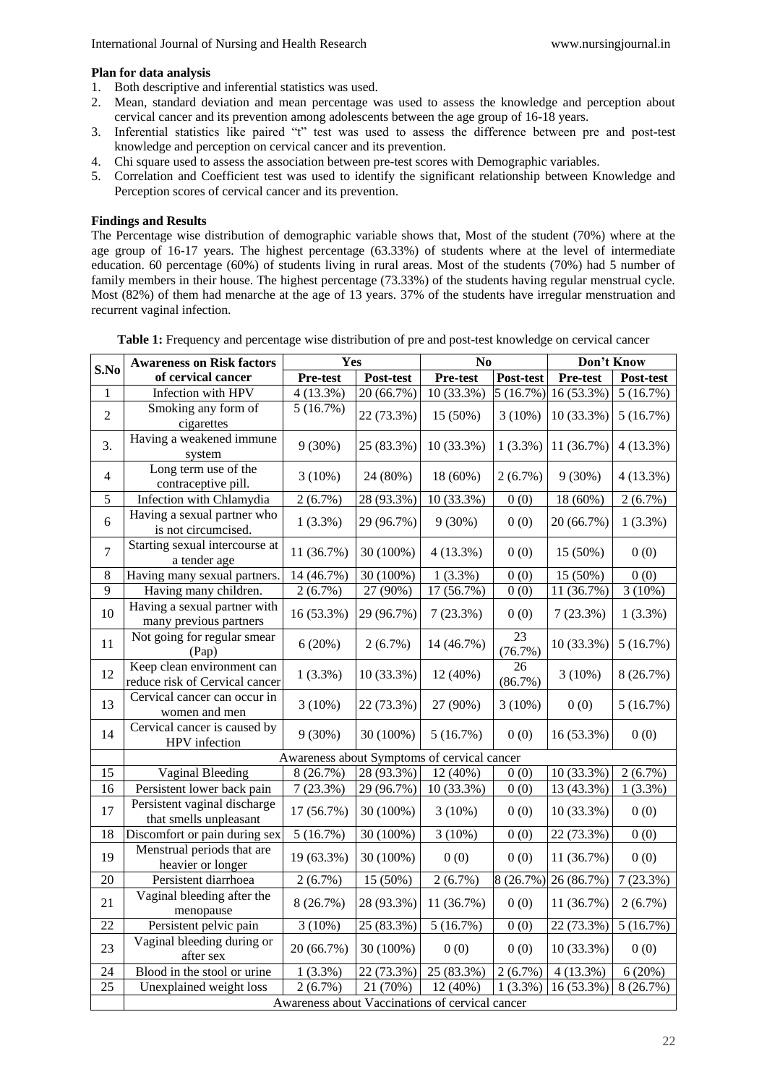## **Plan for data analysis**

- 1. Both descriptive and inferential statistics was used.
- 2. Mean, standard deviation and mean percentage was used to assess the knowledge and perception about cervical cancer and its prevention among adolescents between the age group of 16-18 years.
- 3. Inferential statistics like paired "t" test was used to assess the difference between pre and post-test knowledge and perception on cervical cancer and its prevention.
- 4. Chi square used to assess the association between pre-test scores with Demographic variables.
- 5. Correlation and Coefficient test was used to identify the significant relationship between Knowledge and Perception scores of cervical cancer and its prevention.

## **Findings and Results**

The Percentage wise distribution of demographic variable shows that, Most of the student (70%) where at the age group of 16-17 years. The highest percentage (63.33%) of students where at the level of intermediate education. 60 percentage (60%) of students living in rural areas. Most of the students (70%) had 5 number of family members in their house. The highest percentage (73.33%) of the students having regular menstrual cycle. Most (82%) of them had menarche at the age of 13 years. 37% of the students have irregular menstruation and recurrent vaginal infection.

|                 | <b>Awareness on Risk factors</b>                             | Yes                                         |              | No                      |               | Don't Know   |            |  |  |  |
|-----------------|--------------------------------------------------------------|---------------------------------------------|--------------|-------------------------|---------------|--------------|------------|--|--|--|
| S.No            | of cervical cancer                                           | Pre-test                                    | Post-test    | Pre-test                | Post-test     | Pre-test     | Post-test  |  |  |  |
| 1               | Infection with HPV                                           | $4(13.3\%)$                                 | 20 (66.7%)   | 10 (33.3%)              | 5(16.7%)      | 16 (53.3%)   | 5(16.7%)   |  |  |  |
| $\overline{2}$  | Smoking any form of<br>cigarettes                            | 5(16.7%)                                    | 22 (73.3%)   | 15 (50%)                | $3(10\%)$     | 10 (33.3%)   | 5(16.7%)   |  |  |  |
| 3.              | Having a weakened immune<br>system                           | $9(30\%)$                                   | 25 (83.3%)   | 10 (33.3%)              | 1(3.3%)       | 11 (36.7%)   | 4(13.3%)   |  |  |  |
| $\overline{4}$  | Long term use of the<br>contraceptive pill.                  | 3(10%)                                      | 24 (80%)     | 18 (60%)                | $2(6.7\%)$    | $9(30\%)$    | 4(13.3%)   |  |  |  |
| 5               | Infection with Chlamydia                                     | 2(6.7%)                                     | 28 (93.3%)   | 10 (33.3%)              | 0(0)          | 18 (60%)     | 2(6.7%)    |  |  |  |
| 6               | Having a sexual partner who<br>is not circumcised.           | $1(3.3\%)$                                  | 29 (96.7%)   | $9(30\%)$               | 0(0)          | 20 (66.7%)   | $1(3.3\%)$ |  |  |  |
| $\overline{7}$  | Starting sexual intercourse at<br>a tender age               | 11 (36.7%)                                  | 30 (100%)    | 4(13.3%)                | 0(0)          | 15 (50%)     | 0(0)       |  |  |  |
| $\,8\,$         | Having many sexual partners.                                 | 14 (46.7%)                                  | 30 (100%)    | $1(3.3\%)$              | 0(0)          | 15 (50%)     | 0(0)       |  |  |  |
| 9               | Having many children.                                        | 2(6.7%)                                     | 27 (90%)     | $\overline{17(56.7\%)}$ | 0(0)          | 11 (36.7%)   | $3(10\%)$  |  |  |  |
| 10              | Having a sexual partner with<br>many previous partners       | 16 (53.3%)                                  | 29 (96.7%)   | 7(23.3%)                | 0(0)          | 7(23.3%)     | 1(3.3%)    |  |  |  |
| 11              | Not going for regular smear<br>(Pap)                         | 6(20%)                                      | 2(6.7%)      | 14 (46.7%)              | 23<br>(76.7%) | 10 (33.3%)   | 5(16.7%)   |  |  |  |
| 12              | Keep clean environment can<br>reduce risk of Cervical cancer | $1(3.3\%)$                                  | 10 (33.3%)   | 12(40%)                 | 26<br>(86.7%) | $3(10\%)$    | 8(26.7%)   |  |  |  |
| 13              | Cervical cancer can occur in<br>women and men                | 3(10%)                                      | 22 (73.3%)   | 27 (90%)                | $3(10\%)$     | 0(0)         | 5(16.7%)   |  |  |  |
| 14              | Cervical cancer is caused by<br>HPV infection                | $9(30\%)$                                   | 30 (100%)    | 5(16.7%)                | 0(0)          | 16 (53.3%)   | 0(0)       |  |  |  |
|                 |                                                              | Awareness about Symptoms of cervical cancer |              |                         |               |              |            |  |  |  |
| 15              | <b>Vaginal Bleeding</b>                                      | 8 (26.7%)                                   | $28(93.3\%)$ | 12 (40%)                | 0(0)          | 10 (33.3%)   | $2(6.7\%)$ |  |  |  |
| 16              | Persistent lower back pain                                   | 7(23.3%)                                    | 29 (96.7%)   | 10 (33.3%)              | 0(0)          | 13 (43.3%)   | 1(3.3%)    |  |  |  |
| 17              | Persistent vaginal discharge<br>that smells unpleasant       | 17 (56.7%)                                  | 30 (100%)    | $3(10\%)$               | 0(0)          | 10 (33.3%)   | 0(0)       |  |  |  |
| 18              | Discomfort or pain during sex                                | 5(16.7%)                                    | 30 (100%)    | $3(10\%)$               | 0(0)          | 22 (73.3%)   | 0(0)       |  |  |  |
| 19              | Menstrual periods that are<br>heavier or longer              | 19 (63.3%)                                  | 30 (100%)    | 0(0)                    | 0(0)          | 11 (36.7%)   | 0(0)       |  |  |  |
| 20              | Persistent diarrhoea                                         | 2(6.7%)                                     | 15 (50%)     | 2(6.7%)                 | 8 (26.7%)     | 26 (86.7%)   | 7(23.3%)   |  |  |  |
| 21              | Vaginal bleeding after the<br>menopause                      | 8 (26.7%)                                   | 28 (93.3%)   | 11 (36.7%)              | 0(0)          | 11 (36.7%)   | 2(6.7%)    |  |  |  |
| 22              | Persistent pelvic pain                                       | 3(10%)                                      | 25 (83.3%)   | 5(16.7%)                | 0(0)          | 22 (73.3%)   | 5(16.7%)   |  |  |  |
| 23              | Vaginal bleeding during or<br>after sex                      | 20 (66.7%)                                  | 30 (100%)    | 0(0)                    | 0(0)          | $10(33.3\%)$ | 0(0)       |  |  |  |
| $\overline{24}$ | Blood in the stool or urine                                  | $1(3.3\%)$                                  | 22 (73.3%)   | 25 (83.3%)              | $2(6.7\%)$    | $4(13.3\%)$  | 6(20%)     |  |  |  |
| 25              | Unexplained weight loss                                      | $2(6.7\%)$                                  | 21 (70%)     | 12 (40%)                | $1(3.3\%)$    | 16 (53.3%)   | 8(26.7%)   |  |  |  |
|                 | Awareness about Vaccinations of cervical cancer              |                                             |              |                         |               |              |            |  |  |  |

**Table 1:** Frequency and percentage wise distribution of pre and post-test knowledge on cervical cancer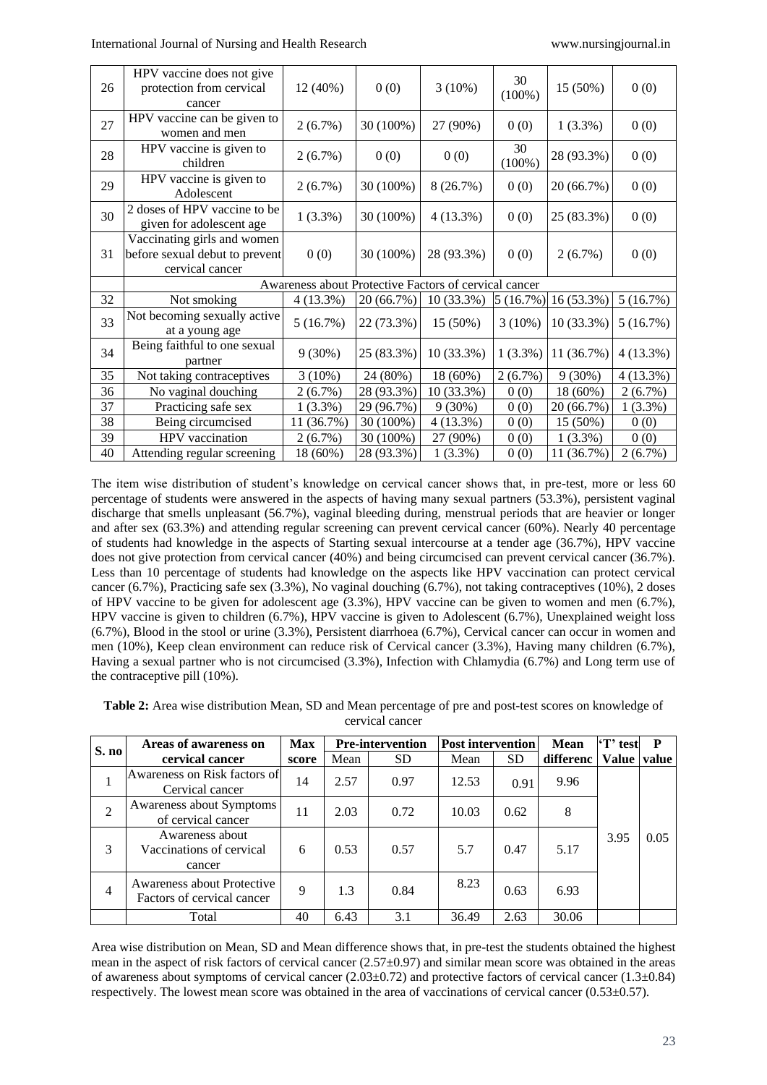| 26 | HPV vaccine does not give<br>protection from cervical<br>cancer                  | 12 (40%)   | 0(0)       | $3(10\%)$    | 30<br>$(100\%)$ | 15 (50%)   | 0(0)       |  |
|----|----------------------------------------------------------------------------------|------------|------------|--------------|-----------------|------------|------------|--|
| 27 | HPV vaccine can be given to<br>women and men                                     | $2(6.7\%)$ | 30 (100%)  | 27 (90%)     | 0(0)            | $1(3.3\%)$ | 0(0)       |  |
| 28 | HPV vaccine is given to<br>children                                              | 2(6.7%)    | 0(0)       | 0(0)         | 30<br>$(100\%)$ | 28 (93.3%) | 0(0)       |  |
| 29 | HPV vaccine is given to<br>Adolescent                                            | $2(6.7\%)$ | 30 (100%)  | 8(26.7%)     | 0(0)            | 20 (66.7%) | 0(0)       |  |
| 30 | 2 doses of HPV vaccine to be<br>given for adolescent age                         | $1(3.3\%)$ | 30 (100%)  | $4(13.3\%)$  | 0(0)            | 25 (83.3%) | 0(0)       |  |
| 31 | Vaccinating girls and women<br>before sexual debut to prevent<br>cervical cancer | 0(0)       | 30 (100%)  | 28 (93.3%)   | 0(0)            | 2(6.7%)    | 0(0)       |  |
|    | Awareness about Protective Factors of cervical cancer                            |            |            |              |                 |            |            |  |
| 32 | Not smoking                                                                      | 4(13.3%)   | 20 (66.7%) | $10(33.3\%)$ | 5(16.7%)        | 16 (53.3%) | 5(16.7%)   |  |
| 33 | Not becoming sexually active<br>at a young age                                   | 5(16.7%)   | 22 (73.3%) | 15 (50%)     | $3(10\%)$       | 10 (33.3%) | 5(16.7%)   |  |
| 34 | Being faithful to one sexual<br>partner                                          | $9(30\%)$  | 25 (83.3%) | 10 (33.3%)   | 1(3.3%)         | 11 (36.7%) | 4(13.3%)   |  |
| 35 | Not taking contraceptives                                                        | 3(10%)     | 24 (80%)   | 18 (60%)     | 2(6.7%)         | $9(30\%)$  | 4(13.3%)   |  |
| 36 | No vaginal douching                                                              | 2(6.7%)    | 28 (93.3%) | 10 (33.3%)   | 0(0)            | 18 (60%)   | 2(6.7%)    |  |
| 37 | Practicing safe sex                                                              | $1(3.3\%)$ | 29 (96.7%) | $9(30\%)$    | 0(0)            | 20 (66.7%) | $1(3.3\%)$ |  |
| 38 | Being circumcised                                                                | 11 (36.7%) | 30 (100%)  | 4 (13.3%)    | 0(0)            | 15 (50%)   | 0(0)       |  |
| 39 | HPV vaccination                                                                  | 2(6.7%)    | 30 (100%)  | 27 (90%)     | 0(0)            | $1(3.3\%)$ | 0(0)       |  |
| 40 | Attending regular screening                                                      | 18 (60%)   | 28 (93.3%) | 1(3.3%)      | 0(0)            | 11 (36.7%) | 2(6.7%)    |  |

The item wise distribution of student's knowledge on cervical cancer shows that, in pre-test, more or less 60 percentage of students were answered in the aspects of having many sexual partners (53.3%), persistent vaginal discharge that smells unpleasant (56.7%), vaginal bleeding during, menstrual periods that are heavier or longer and after sex (63.3%) and attending regular screening can prevent cervical cancer (60%). Nearly 40 percentage of students had knowledge in the aspects of Starting sexual intercourse at a tender age (36.7%), HPV vaccine does not give protection from cervical cancer (40%) and being circumcised can prevent cervical cancer (36.7%). Less than 10 percentage of students had knowledge on the aspects like HPV vaccination can protect cervical cancer (6.7%), Practicing safe sex (3.3%), No vaginal douching (6.7%), not taking contraceptives (10%), 2 doses of HPV vaccine to be given for adolescent age (3.3%), HPV vaccine can be given to women and men (6.7%), HPV vaccine is given to children (6.7%), HPV vaccine is given to Adolescent (6.7%), Unexplained weight loss (6.7%), Blood in the stool or urine (3.3%), Persistent diarrhoea (6.7%), Cervical cancer can occur in women and men (10%), Keep clean environment can reduce risk of Cervical cancer (3.3%), Having many children (6.7%), Having a sexual partner who is not circumcised (3.3%), Infection with Chlamydia (6.7%) and Long term use of the contraceptive pill (10%).

**Table 2:** Area wise distribution Mean, SD and Mean percentage of pre and post-test scores on knowledge of cervical cancer

| S. no          | Areas of awareness on                                    | <b>Max</b> |      | <b>Pre-intervention</b> |       | <b>Post intervention</b> |           | 'T' test     | P     |
|----------------|----------------------------------------------------------|------------|------|-------------------------|-------|--------------------------|-----------|--------------|-------|
|                | cervical cancer                                          | score      | Mean | <b>SD</b>               | Mean  | <b>SD</b>                | differenc | <b>Value</b> | value |
|                | Awareness on Risk factors of<br>Cervical cancer          | 14         | 2.57 | 0.97                    | 12.53 | 0.91                     | 9.96      |              |       |
| $\overline{2}$ | Awareness about Symptoms<br>of cervical cancer           | 11         | 2.03 | 0.72                    | 10.03 | 0.62                     | 8         |              |       |
| 3              | Awareness about<br>Vaccinations of cervical<br>cancer    | 6          | 0.53 | 0.57                    | 5.7   | 0.47                     | 5.17      | 3.95         | 0.05  |
| $\overline{4}$ | Awareness about Protective<br>Factors of cervical cancer | 9          | 1.3  | 0.84                    | 8.23  | 0.63                     | 6.93      |              |       |
|                | Total                                                    | 40         | 6.43 | 3.1                     | 36.49 | 2.63                     | 30.06     |              |       |

Area wise distribution on Mean, SD and Mean difference shows that, in pre-test the students obtained the highest mean in the aspect of risk factors of cervical cancer  $(2.57\pm0.97)$  and similar mean score was obtained in the areas of awareness about symptoms of cervical cancer  $(2.03\pm0.72)$  and protective factors of cervical cancer  $(1.3\pm0.84)$ respectively. The lowest mean score was obtained in the area of vaccinations of cervical cancer (0.53±0.57).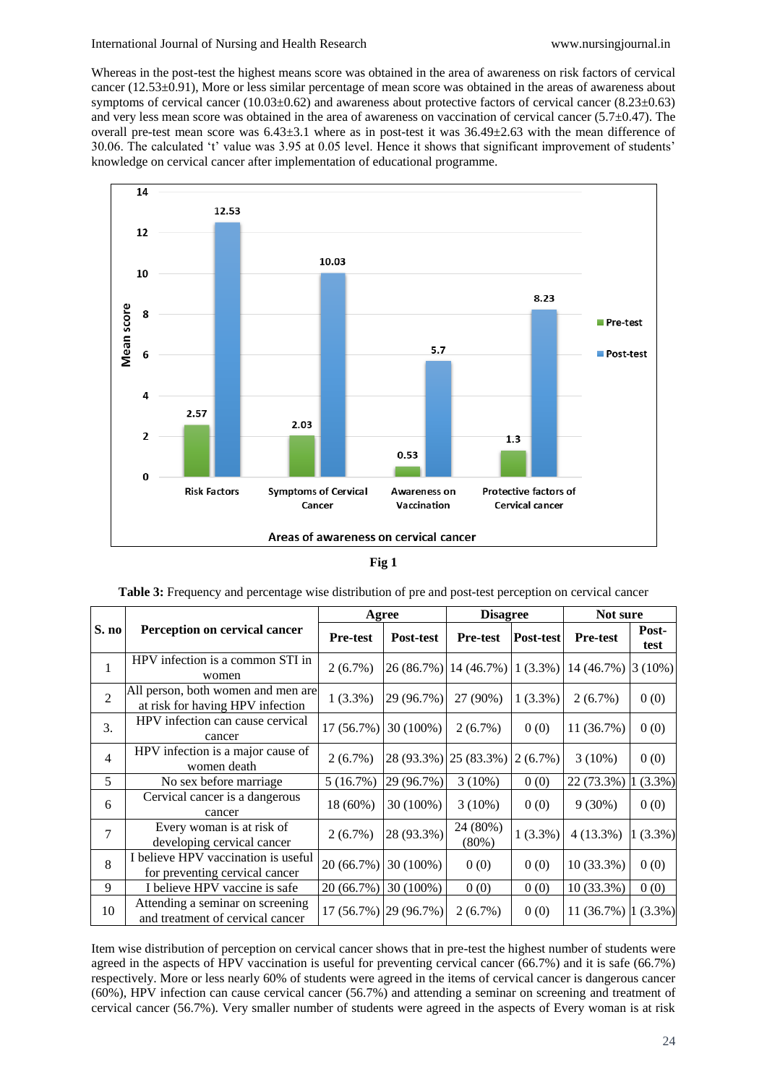Whereas in the post-test the highest means score was obtained in the area of awareness on risk factors of cervical cancer (12.53±0.91), More or less similar percentage of mean score was obtained in the areas of awareness about symptoms of cervical cancer (10.03±0.62) and awareness about protective factors of cervical cancer (8.23±0.63) and very less mean score was obtained in the area of awareness on vaccination of cervical cancer (5.7±0.47). The overall pre-test mean score was 6.43±3.1 where as in post-test it was 36.49±2.63 with the mean difference of 30.06. The calculated 't' value was 3.95 at 0.05 level. Hence it shows that significant improvement of students' knowledge on cervical cancer after implementation of educational programme.



# **Fig 1**

|                |                                                                        |                 | Agree                 | <b>Disagree</b>       |            | Not sure             |               |  |
|----------------|------------------------------------------------------------------------|-----------------|-----------------------|-----------------------|------------|----------------------|---------------|--|
| S. no          | Perception on cervical cancer                                          | <b>Pre-test</b> | Post-test             | <b>Pre-test</b>       | Post-test  | <b>Pre-test</b>      | Post-<br>test |  |
| 1              | HPV infection is a common STI in<br>women                              | $2(6.7\%)$      |                       | 26 (86.7%) 14 (46.7%) | $1(3.3\%)$ | 14 (46.7%)           | $3(10\%)$     |  |
| $\overline{2}$ | All person, both women and men are<br>at risk for having HPV infection | $1(3.3\%)$      | 29 (96.7%)            | 27 (90%)              | $1(3.3\%)$ | 2(6.7%)              | 0(0)          |  |
| 3.             | HPV infection can cause cervical<br>cancer                             | 17(56.7%)       | 30 (100%)             | 2(6.7%)               | 0(0)       | 11 (36.7%)           | 0(0)          |  |
| $\overline{4}$ | HPV infection is a major cause of<br>women death                       | $2(6.7\%)$      |                       | 28 (93.3%) 25 (83.3%) | $2(6.7\%)$ | $3(10\%)$            | 0(0)          |  |
| 5              | No sex before marriage                                                 | 5(16.7%)        | 29 (96.7%)            | $3(10\%)$             | 0(0)       | 22 (73.3%)           | $(3.3\%)$     |  |
| 6              | Cervical cancer is a dangerous<br>cancer                               | 18 (60%)        | 30 (100%)             | $3(10\%)$             | 0(0)       | $9(30\%)$            | 0(0)          |  |
| 7              | Every woman is at risk of<br>developing cervical cancer                | $2(6.7\%)$      | 28 (93.3%)            | 24 (80%)<br>(80%)     | $1(3.3\%)$ | $4(13.3\%)$          | $1(3.3\%)$    |  |
| 8              | I believe HPV vaccination is useful<br>for preventing cervical cancer  | 20 (66.7%)      | 30 (100%)             | 0(0)                  | 0(0)       | 10 (33.3%)           | 0(0)          |  |
| 9              | I believe HPV vaccine is safe                                          | 20 (66.7%)      | 30 (100%)             | 0(0)                  | 0(0)       | 10 (33.3%)           | 0(0)          |  |
| 10             | Attending a seminar on screening<br>and treatment of cervical cancer   |                 | 17 (56.7%) 29 (96.7%) | $2(6.7\%)$            | 0(0)       | $11(36.7%)$ $(3.3%)$ |               |  |

Item wise distribution of perception on cervical cancer shows that in pre-test the highest number of students were agreed in the aspects of HPV vaccination is useful for preventing cervical cancer (66.7%) and it is safe (66.7%) respectively. More or less nearly 60% of students were agreed in the items of cervical cancer is dangerous cancer (60%), HPV infection can cause cervical cancer (56.7%) and attending a seminar on screening and treatment of cervical cancer (56.7%). Very smaller number of students were agreed in the aspects of Every woman is at risk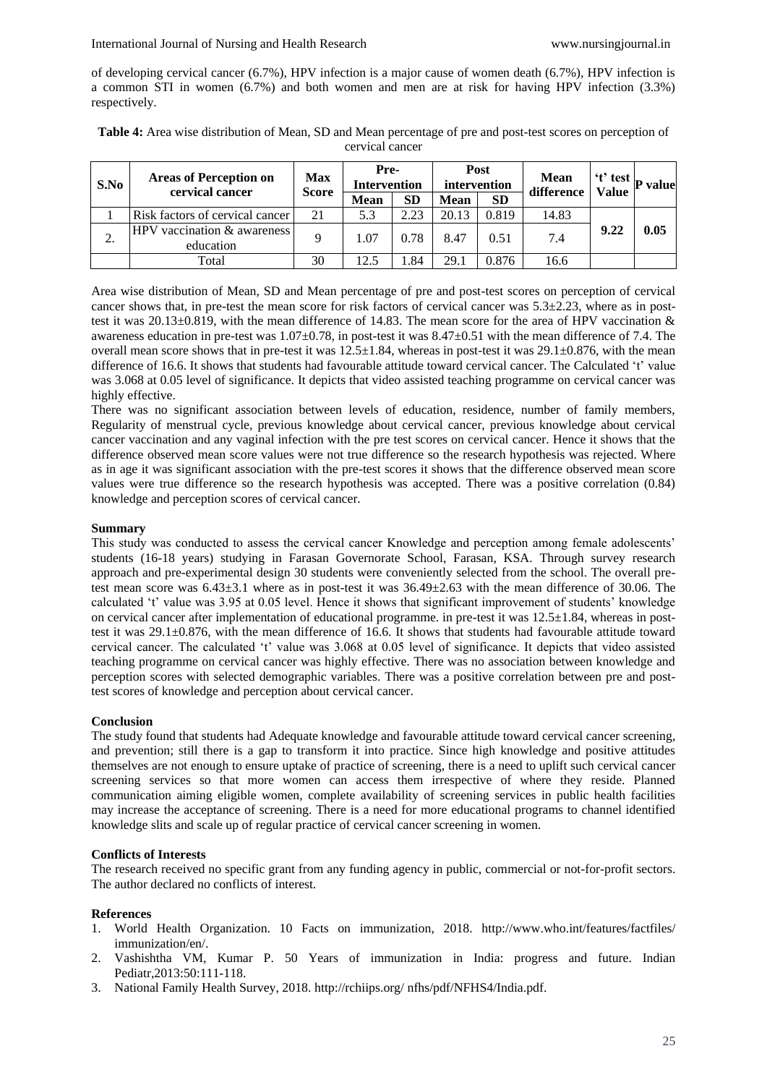#### International Journal of Nursing and Health Research www.nursingjournal.in

of developing cervical cancer (6.7%), HPV infection is a major cause of women death (6.7%), HPV infection is a common STI in women (6.7%) and both women and men are at risk for having HPV infection (3.3%) respectively.

| Table 4: Area wise distribution of Mean, SD and Mean percentage of pre and post-test scores on perception of |
|--------------------------------------------------------------------------------------------------------------|
| cervical cancer                                                                                              |

| S.No    | <b>Areas of Perception on</b><br>cervical cancer | <b>Max</b><br><b>Score</b> | Pre-<br><b>Intervention</b> |           | Post<br>intervention |           | <b>Mean</b><br>difference | 't' test     | P value |
|---------|--------------------------------------------------|----------------------------|-----------------------------|-----------|----------------------|-----------|---------------------------|--------------|---------|
|         |                                                  |                            | <b>Mean</b>                 | <b>SD</b> | <b>Mean</b>          | <b>SD</b> |                           | <b>Value</b> |         |
|         | Risk factors of cervical cancer                  | 21                         | 5.3                         | 2.23      | 20.13                | 0.819     | 14.83                     |              |         |
| ◠<br>٠. | HPV vaccination & awareness<br>education         | Q                          | 1.07                        | 0.78      | 8.47                 | 0.51      | 7.4                       | 9.22         | 0.05    |
|         | Total                                            | 30                         | 12.5                        | .84       | 29.1                 | 0.876     | 16.6                      |              |         |

Area wise distribution of Mean, SD and Mean percentage of pre and post-test scores on perception of cervical cancer shows that, in pre-test the mean score for risk factors of cervical cancer was  $5.3\pm 2.23$ , where as in posttest it was 20.13±0.819, with the mean difference of 14.83. The mean score for the area of HPV vaccination & awareness education in pre-test was  $1.07\pm0.78$ , in post-test it was  $8.47\pm0.51$  with the mean difference of 7.4. The overall mean score shows that in pre-test it was  $12.5 \pm 1.84$ , whereas in post-test it was  $29.1 \pm 0.876$ , with the mean difference of 16.6. It shows that students had favourable attitude toward cervical cancer. The Calculated 't' value was 3.068 at 0.05 level of significance. It depicts that video assisted teaching programme on cervical cancer was highly effective.

There was no significant association between levels of education, residence, number of family members, Regularity of menstrual cycle, previous knowledge about cervical cancer, previous knowledge about cervical cancer vaccination and any vaginal infection with the pre test scores on cervical cancer. Hence it shows that the difference observed mean score values were not true difference so the research hypothesis was rejected. Where as in age it was significant association with the pre-test scores it shows that the difference observed mean score values were true difference so the research hypothesis was accepted. There was a positive correlation (0.84) knowledge and perception scores of cervical cancer.

# **Summary**

This study was conducted to assess the cervical cancer Knowledge and perception among female adolescents' students (16-18 years) studying in Farasan Governorate School, Farasan, KSA. Through survey research approach and pre-experimental design 30 students were conveniently selected from the school. The overall pretest mean score was 6.43±3.1 where as in post-test it was 36.49±2.63 with the mean difference of 30.06. The calculated 't' value was 3.95 at 0.05 level. Hence it shows that significant improvement of students' knowledge on cervical cancer after implementation of educational programme. in pre-test it was 12.5±1.84, whereas in posttest it was 29.1±0.876, with the mean difference of 16.6. It shows that students had favourable attitude toward cervical cancer. The calculated 't' value was 3.068 at 0.05 level of significance. It depicts that video assisted teaching programme on cervical cancer was highly effective. There was no association between knowledge and perception scores with selected demographic variables. There was a positive correlation between pre and posttest scores of knowledge and perception about cervical cancer.

# **Conclusion**

The study found that students had Adequate knowledge and favourable attitude toward cervical cancer screening, and prevention; still there is a gap to transform it into practice. Since high knowledge and positive attitudes themselves are not enough to ensure uptake of practice of screening, there is a need to uplift such cervical cancer screening services so that more women can access them irrespective of where they reside. Planned communication aiming eligible women, complete availability of screening services in public health facilities may increase the acceptance of screening. There is a need for more educational programs to channel identified knowledge slits and scale up of regular practice of cervical cancer screening in women.

# **Conflicts of Interests**

The research received no specific grant from any funding agency in public, commercial or not-for-profit sectors. The author declared no conflicts of interest.

#### **References**

- 1. World Health Organization. 10 Facts on immunization, 2018. http://www.who.int/features/factfiles/ immunization/en/.
- 2. Vashishtha VM, Kumar P. 50 Years of immunization in India: progress and future. Indian Pediatr,2013:50:111-118.
- 3. National Family Health Survey, 2018. http://rchiips.org/ nfhs/pdf/NFHS4/India.pdf.